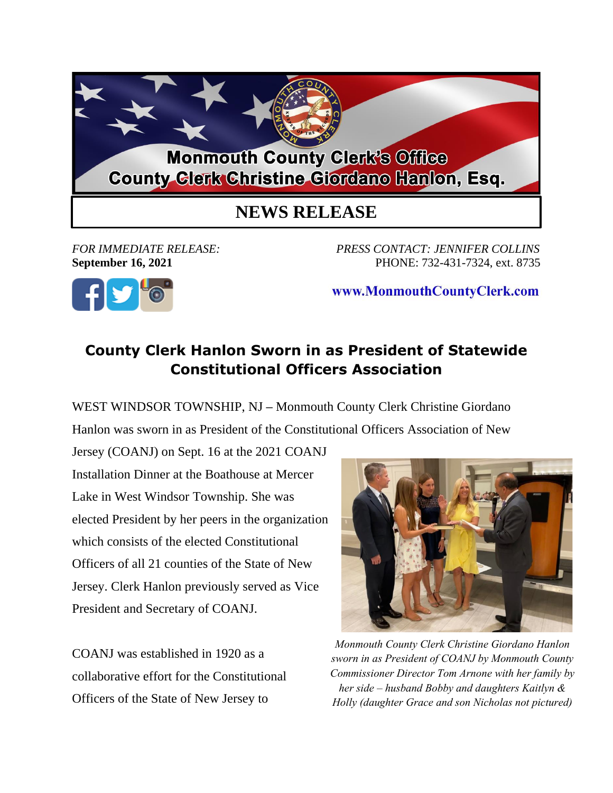

## **NEWS RELEASE**

*FOR IMMEDIATE RELEASE: PRESS CONTACT: JENNIFER COLLINS* **September 16, 2021** PHONE: 732-431-7324, ext. 8735



www.MonmouthCountyClerk.com

## **County Clerk Hanlon Sworn in as President of Statewide Constitutional Officers Association**

WEST WINDSOR TOWNSHIP, NJ **–** Monmouth County Clerk Christine Giordano

Hanlon was sworn in as President of the Constitutional Officers Association of New

Jersey (COANJ) on Sept. 16 at the 2021 COANJ Installation Dinner at the Boathouse at Mercer Lake in West Windsor Township. She was elected President by her peers in the organization which consists of the elected Constitutional Officers of all 21 counties of the State of New Jersey. Clerk Hanlon previously served as Vice President and Secretary of COANJ.

COANJ was established in 1920 as a collaborative effort for the Constitutional Officers of the State of New Jersey to



*Monmouth County Clerk Christine Giordano Hanlon sworn in as President of COANJ by Monmouth County Commissioner Director Tom Arnone with her family by her side – husband Bobby and daughters Kaitlyn & Holly (daughter Grace and son Nicholas not pictured)*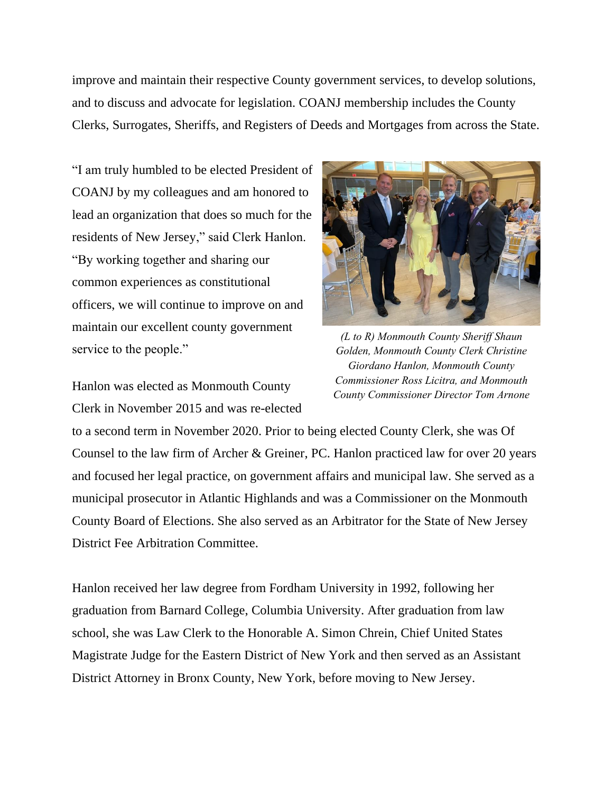improve and maintain their respective County government services, to develop solutions, and to discuss and advocate for legislation. COANJ membership includes the County Clerks, Surrogates, Sheriffs, and Registers of Deeds and Mortgages from across the State.

"I am truly humbled to be elected President of COANJ by my colleagues and am honored to lead an organization that does so much for the residents of New Jersey," said Clerk Hanlon. "By working together and sharing our common experiences as constitutional officers, we will continue to improve on and maintain our excellent county government service to the people."

Hanlon was elected as Monmouth County Clerk in November 2015 and was re-elected



*(L to R) Monmouth County Sheriff Shaun Golden, Monmouth County Clerk Christine Giordano Hanlon, Monmouth County Commissioner Ross Licitra, and Monmouth County Commissioner Director Tom Arnone*

to a second term in November 2020. Prior to being elected County Clerk, she was Of Counsel to the law firm of Archer & Greiner, PC. Hanlon practiced law for over 20 years and focused her legal practice, on government affairs and municipal law. She served as a municipal prosecutor in Atlantic Highlands and was a Commissioner on the Monmouth County Board of Elections. She also served as an Arbitrator for the State of New Jersey District Fee Arbitration Committee.

Hanlon received her law degree from Fordham University in 1992, following her graduation from Barnard College, Columbia University. After graduation from law school, she was Law Clerk to the Honorable A. Simon Chrein, Chief United States Magistrate Judge for the Eastern District of New York and then served as an Assistant District Attorney in Bronx County, New York, before moving to New Jersey.